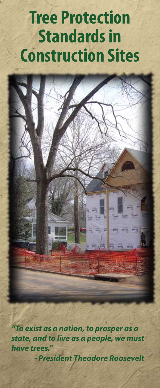# **Tree Protection Standards in Construction Sites**

*"To exist as a nation, to prosper as a state, and to live as a people, we must have trees."* 

*- President Theodore Roosevelt*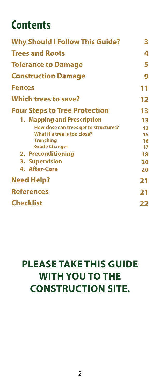### **Contents**

| <b>Why Should I Follow This Guide?</b> | 3  |
|----------------------------------------|----|
| <b>Trees and Roots</b>                 | 4  |
| <b>Tolerance to Damage</b>             | 5  |
| <b>Construction Damage</b>             | 9  |
| <b>Fences</b>                          | 11 |
| <b>Which trees to save?</b>            | 12 |
| <b>Four Steps to Tree Protection</b>   | 13 |
| 1. Mapping and Prescription            | 13 |
| How close can trees get to structures? | 13 |
| What if a tree is too close?           | 15 |
| <b>Trenching</b>                       | 16 |
| <b>Grade Changes</b>                   | 17 |
| 2. Preconditioning                     | 18 |
| 3. Supervision                         | 20 |
| 4. After-Care                          | 20 |
| <b>Need Help?</b>                      | 21 |
| <b>References</b>                      | 21 |
| <b>Checklist</b>                       | 22 |

### **Please take this guide with you to the construction site.**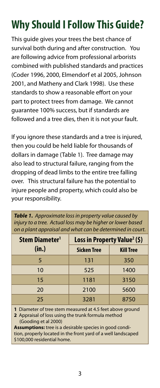# **Why Should I Follow This Guide?**

This guide gives your trees the best chance of survival both during and after construction. You are following advice from professional arborists combined with published standards and practices (Coder 1996, 2000, Elmendorf et al 2005, Johnson 2001, and Matheny and Clark 1998). Use these standards to show a reasonable effort on your part to protect trees from damage. We cannot guarantee 100% success, but if standards are followed and a tree dies, then it is not your fault.

If you ignore these standards and a tree is injured, then you could be held liable for thousands of dollars in damage (Table 1). Tree damage may also lead to structural failure, ranging from the dropping of dead limbs to the entire tree falling over. This structural failure has the potential to injure people and property, which could also be your responsibility.

| Table 1. Approximate loss in property value caused by      |
|------------------------------------------------------------|
| injury to a tree. Actual loss may be higher or lower based |
| on a plant appraisal and what can be determined in court.  |

| Stem Diameter <sup>1</sup> | Loss in Property Value <sup>2</sup> (\$) |                  |
|----------------------------|------------------------------------------|------------------|
| (in.)                      | <b>Sicken Tree</b>                       | <b>Kill Tree</b> |
| $\overline{5}$             | 131                                      | 350              |
| 10                         | 525                                      | 1400             |
| 15                         | 1181                                     | 3150             |
| 20                         | 2100                                     | 5600             |
| 25                         | 3281                                     | 8750             |

**1** Diameter of tree stem measured at 4.5 feet above ground

**2** Appraisal of loss using the trunk formula method (Gooding et al 2000)

**Assumptions:** tree is a desirable species in good condition, properly located in the front yard of a well landscaped \$100,000 residential home.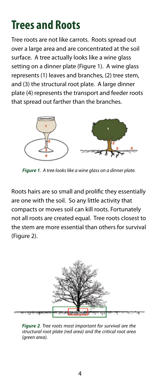# **Trees and Roots**

Tree roots are not like carrots. Roots spread out over a large area and are concentrated at the soil surface. A tree actually looks like a wine glass setting on a dinner plate (Figure 1). A wine glass represents (1) leaves and branches, (2) tree stem, and (3) the structural root plate. A large dinner plate (4) represents the transport and feeder roots that spread out farther than the branches.



*Figure 1. A tree looks like a wine glass on a dinner plate.*

Roots hairs are so small and prolific they essentially are one with the soil. So any little activity that compacts or moves soil can kill roots. Fortunately not all roots are created equal. Tree roots closest to the stem are more essential than others for survival (Figure 2).



*Figure 2. Tree roots most important for survival are the structural root plate (red area) and the critical root area (green area).*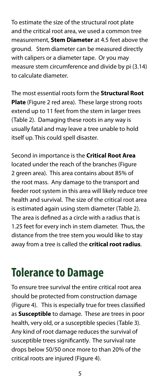To estimate the size of the structural root plate and the critical root area, we used a common tree measurement, **Stem Diameter** at 4.5 feet above the ground. Stem diameter can be measured directly with calipers or a diameter tape. Or you may measure stem circumference and divide by pi (3.14) to calculate diameter.

The most essential roots form the **Structural Root Plate** (Figure 2 red area). These large strong roots extend up to 11 feet from the stem in larger trees (Table 2). Damaging these roots in any way is usually fatal and may leave a tree unable to hold itself up. This could spell disaster.

Second in importance is the **Critical Root Area** located under the reach of the branches (Figure 2 green area). This area contains about 85% of the root mass. Any damage to the transport and feeder root system in this area will likely reduce tree health and survival. The size of the critical root area is estimated again using stem diameter (Table 2). The area is defined as a circle with a radius that is 1.25 feet for every inch in stem diameter. Thus, the distance from the tree stem you would like to stay away from a tree is called the **critical root radius**.

## **Tolerance to Damage**

To ensure tree survival the entire critical root area should be protected from construction damage (Figure 4). This is especially true for trees classified as **Susceptible** to damage. These are trees in poor health, very old, or a susceptible species (Table 3). Any kind of root damage reduces the survival of susceptible trees significantly. The survival rate drops below 50/50 once more to than 20% of the critical roots are injured (Figure 4).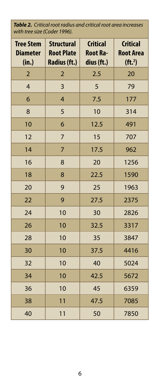*Table 2. Critical root radius and critical root area increases with tree size (Coder 1996).*

| <b>Tree Stem</b><br><b>Diameter</b><br>(in.) | <b>Structural</b><br><b>Root Plate</b><br>Radius (ft.) | <b>Critical</b><br><b>Root Ra-</b><br>dius (ft.) | <b>Critical</b><br><b>Root Area</b><br>(ft.) |
|----------------------------------------------|--------------------------------------------------------|--------------------------------------------------|----------------------------------------------|
| 2                                            | $\overline{2}$                                         | 2.5                                              | 20                                           |
| $\overline{4}$                               | $\overline{3}$                                         | 5                                                | 79                                           |
| 6                                            | $\overline{4}$                                         | 7.5                                              | 177                                          |
| 8                                            | 5                                                      | 10                                               | 314                                          |
| 10                                           | 6                                                      | 12.5                                             | 491                                          |
| 12                                           | $\overline{7}$                                         | 15                                               | 707                                          |
| 14                                           | 7                                                      | 17.5                                             | 962                                          |
| 16                                           | 8                                                      | 20                                               | 1256                                         |
| 18                                           | 8                                                      | 22.5                                             | 1590                                         |
| 20                                           | 9                                                      | 25                                               | 1963                                         |
| 22                                           | 9                                                      | 27.5                                             | 2375                                         |
| 24                                           | 10                                                     | 30                                               | 2826                                         |
| 26                                           | 10                                                     | 32.5                                             | 3317                                         |
| 28                                           | 10                                                     | 35                                               | 3847                                         |
| 30                                           | 10                                                     | 37.5                                             | 4416                                         |
| 32                                           | 10                                                     | 40                                               | 5024                                         |
| 34                                           | 10                                                     | 42.5                                             | 5672                                         |
| 36                                           | 10                                                     | 45                                               | 6359                                         |
| 38                                           | 11                                                     | 47.5                                             | 7085                                         |
| 40                                           | 11                                                     | 50                                               | 7850                                         |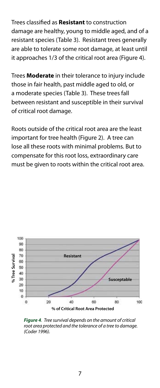Trees classified as **Resistant** to construction damage are healthy, young to middle aged, and of a resistant species (Table 3). Resistant trees generally are able to tolerate some root damage, at least until it approaches 1/3 of the critical root area (Figure 4).

Trees **Moderate** in their tolerance to injury include those in fair health, past middle aged to old, or a moderate species (Table 3). These trees fall between resistant and susceptible in their survival of critical root damage.

Roots outside of the critical root area are the least important for tree health (Figure 2). A tree can lose all these roots with minimal problems. But to compensate for this root loss, extraordinary care must be given to roots within the critical root area.



*Figure 4. Tree survival depends on the amount of critical root area protected and the tolerance of a tree to damage. (Coder 1996).*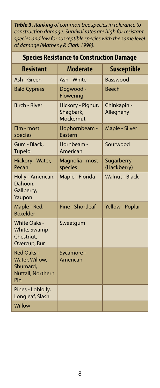*Table 3. Ranking of common tree species in tolerance to construction damage. Survival rates are high for resistant species and low for susceptible species with the same level of damage (Matheny & Clark 1998).*

| <b>Species Resistance to Construction Damage</b>                                   |                                             |                           |  |
|------------------------------------------------------------------------------------|---------------------------------------------|---------------------------|--|
| <b>Resistant</b>                                                                   | <b>Moderate</b>                             | <b>Susceptible</b>        |  |
| Ash - Green                                                                        | Ash - White                                 | Basswood                  |  |
| <b>Bald Cypress</b>                                                                | Dogwood -<br>Flowering                      | <b>Beech</b>              |  |
| <b>Birch - River</b>                                                               | Hickory - Pignut,<br>Shagbark,<br>Mockernut | Chinkapin -<br>Allegheny  |  |
| Elm - most<br>species                                                              | Hophornbeam -<br>Eastern                    | Maple - Silver            |  |
| Gum - Black,<br><b>Tupelo</b>                                                      | Hornbeam -<br>American                      | Sourwood                  |  |
| Hickory - Water,<br>Pecan                                                          | Magnolia - most<br>species                  | Sugarberry<br>(Hackberry) |  |
| Holly - American,<br>Dahoon,<br>Gallberry,<br>Yaupon                               | Maple - Florida                             | <b>Walnut - Black</b>     |  |
| Maple - Red,<br><b>Boxelder</b>                                                    | Pine - Shortleaf                            | Yellow - Poplar           |  |
| <b>White Oaks -</b><br>White, Swamp<br>Chestnut.<br>Overcup, Bur                   | Sweetgum                                    |                           |  |
| <b>Red Oaks -</b><br>Water, Willow,<br>Shumard,<br><b>Nuttall, Northern</b><br>Pin | Sycamore -<br>American                      |                           |  |
| Pines - Loblolly,<br>Longleaf, Slash                                               |                                             |                           |  |
| Willow                                                                             |                                             |                           |  |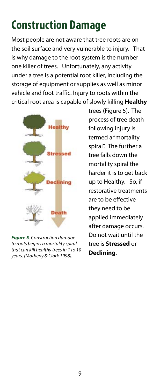# **Construction Damage**

Most people are not aware that tree roots are on the soil surface and very vulnerable to injury. That is why damage to the root system is the number one killer of trees. Unfortunately, any activity under a tree is a potential root killer, including the storage of equipment or supplies as well as minor vehicle and foot traffic. Injury to roots within the critical root area is capable of slowly killing **Healthy**



*Figure 5. Construction damage to roots begins a mortality spiral that can kill healthy trees in 1 to 10 years. (Matheny & Clark 1998).*

trees (Figure 5). The process of tree death following injury is termed a "mortality spiral". The further a tree falls down the mortality spiral the harder it is to get back up to Healthy. So, if restorative treatments are to be effective they need to be applied immediately after damage occurs. Do not wait until the tree is **Stressed** or **Declining**.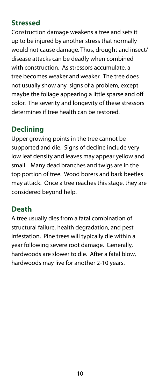#### **Stressed**

Construction damage weakens a tree and sets it up to be injured by another stress that normally would not cause damage. Thus, drought and insect/ disease attacks can be deadly when combined with construction. As stressors accumulate, a tree becomes weaker and weaker. The tree does not usually show any signs of a problem, except maybe the foliage appearing a little sparse and off color. The severity and longevity of these stressors determines if tree health can be restored.

#### **Declining**

Upper growing points in the tree cannot be supported and die. Signs of decline include very low leaf density and leaves may appear yellow and small. Many dead branches and twigs are in the top portion of tree. Wood borers and bark beetles may attack. Once a tree reaches this stage, they are considered beyond help.

#### **Death**

A tree usually dies from a fatal combination of structural failure, health degradation, and pest infestation. Pine trees will typically die within a year following severe root damage. Generally, hardwoods are slower to die. After a fatal blow, hardwoods may live for another 2-10 years.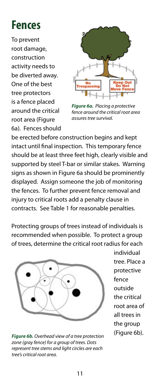# **Fences**

To prevent root damage, construction activity needs to be diverted away. One of the best tree protectors is a fence placed around the critical root area (Figure 6a). Fences should



*Figure 6a. Placing a protective fence around the critical root area assures tree survival.*

be erected before construction begins and kept intact until final inspection. This temporary fence should be at least three feet high, clearly visible and supported by steel T-bar or similar stakes. Warning signs as shown in Figure 6a should be prominently displayed. Assign someone the job of monitoring the fences. To further prevent fence removal and injury to critical roots add a penalty clause in contracts. See Table 1 for reasonable penalties.

Protecting groups of trees instead of individuals is recommended when possible. To protect a group of trees, determine the critical root radius for each



*Figure 6b. Overhead view of a tree protection zone (gray fence) for a group of trees. Dots represent tree stems and light circles are each tree's critical root area.*

individual tree. Place a protective fence outside the critical root area of all trees in the group (Figure 6b).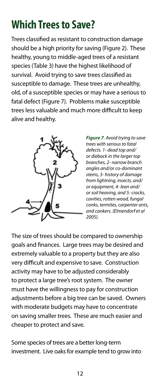# **Which Trees to Save?**

Trees classified as resistant to construction damage should be a high priority for saving (Figure 2). These healthy, young to middle-aged trees of a resistant species (Table 3) have the highest likelihood of survival. Avoid trying to save trees classified as susceptible to damage. These trees are unhealthy, old, of a susceptible species or may have a serious to fatal defect (Figure 7). Problems make susceptible trees less valuable and much more difficult to keep alive and healthy.



*Figure 7. Avoid trying to save trees with serious to fatal defects. 1- dead top and/ or dieback in the larger top branches, 2- narrow branch angles and/or co-dominant stems, 3- history of damage from lightning, insects, and/ or equipment, 4- lean and/ or soil heaving, and 5- cracks, cavities, rotten wood, fungal conks, termites, carpenter ants, and cankers. (Elmendorf et al 2005).*

The size of trees should be compared to ownership goals and finances. Large trees may be desired and extremely valuable to a property but they are also very difficult and expensive to save. Construction activity may have to be adjusted considerably to protect a large tree's root system. The owner must have the willingness to pay for construction adjustments before a big tree can be saved. Owners with moderate budgets may have to concentrate on saving smaller trees. These are much easier and cheaper to protect and save.

Some species of trees are a better long-term investment. Live oaks for example tend to grow into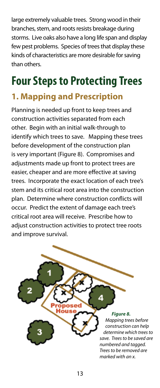large extremely valuable trees. Strong wood in their branches, stem, and roots resists breakage during storms. Live oaks also have a long life span and display few pest problems. Species of trees that display these kinds of characteristics are more desirable for saving than others.

# **Four Steps to Protecting Trees**

### **1. Mapping and Prescription**

Planning is needed up front to keep trees and construction activities separated from each other. Begin with an initial walk-through to identify which trees to save. Mapping these trees before development of the construction plan is very important (Figure 8). Compromises and adjustments made up front to protect trees are easier, cheaper and are more effective at saving trees. Incorporate the exact location of each tree's stem and its critical root area into the construction plan. Determine where construction conflicts will occur. Predict the extent of damage each tree's critical root area will receive. Prescribe how to adjust construction activities to protect tree roots and improve survival.

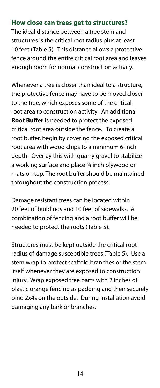#### **How close can trees get to structures?**

The ideal distance between a tree stem and structures is the critical root radius plus at least 10 feet (Table 5). This distance allows a protective fence around the entire critical root area and leaves enough room for normal construction activity.

Whenever a tree is closer than ideal to a structure, the protective fence may have to be moved closer to the tree, which exposes some of the critical root area to construction activity. An additional **Root Buffer** is needed to protect the exposed critical root area outside the fence. To create a root buffer, begin by covering the exposed critical root area with wood chips to a minimum 6-inch depth. Overlay this with quarry gravel to stabilize a working surface and place ¾ inch plywood or mats on top. The root buffer should be maintained throughout the construction process.

Damage resistant trees can be located within 20 feet of buildings and 10 feet of sidewalks. A combination of fencing and a root buffer will be needed to protect the roots (Table 5).

Structures must be kept outside the critical root radius of damage susceptible trees (Table 5). Use a stem wrap to protect scaffold branches or the stem itself whenever they are exposed to construction injury. Wrap exposed tree parts with 2 inches of plastic orange fencing as padding and then securely bind 2x4s on the outside. During installation avoid damaging any bark or branches.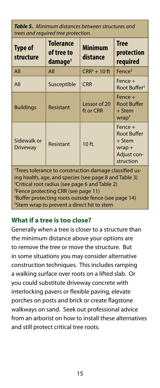*Table 5. Minimum distances between structures and trees and required tree protection.* 

| <b>Type of</b><br>structure                                                                                                                                                                                                                  | <b>Tolerance</b><br>of tree to<br>damage <sup>1</sup> | <b>Minimum</b><br>distance | <b>Tree</b><br>protection<br>required                                             |
|----------------------------------------------------------------------------------------------------------------------------------------------------------------------------------------------------------------------------------------------|-------------------------------------------------------|----------------------------|-----------------------------------------------------------------------------------|
| All                                                                                                                                                                                                                                          | All                                                   | $CRR2 + 10 ft$             | Fence <sup>3</sup>                                                                |
| All                                                                                                                                                                                                                                          | Susceptible                                           | <b>CRR</b>                 | Fence $+$<br>Root Buffer <sup>4</sup>                                             |
| <b>Buildings</b>                                                                                                                                                                                                                             | Resistant                                             | Lessor of 20<br>ft or CRR  | $Fence +$<br><b>Root Buffer</b><br>+ Stem<br>wrap <sup>5</sup>                    |
| Sidewalk or<br><b>Driveway</b>                                                                                                                                                                                                               | Resistant                                             | 10 ft.                     | $Fence +$<br><b>Root Buffer</b><br>+ Stem<br>$Wrap +$<br>Adjust con-<br>struction |
| <sup>1</sup> Trees tolerance to construction damage classified us-<br>ing health, age, and species (see page 8 and Table 3)<br><sup>2</sup> Critical root radius (see page 6 and Table 2)<br><sup>3</sup> Fence protecting CRR (see page 11) |                                                       |                            |                                                                                   |

4 Buffer protecting roots outside fence (see page 14) 5 Stem wrap to prevent a direct hit to stem

#### **What if a tree is too close?**

Generally when a tree is closer to a structure than the minimum distance above your options are to remove the tree or move the structure. But in some situations you may consider alternative construction techniques. This includes ramping a walking surface over roots on a lifted slab. Or you could substitute driveway concrete with interlocking pavers or flexible paving, elevate porches on posts and brick or create flagstone walkways on sand. Seek out professional advice from an arborist on how to install these alternatives and still protect critical tree roots.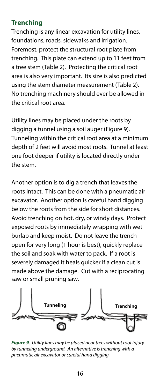#### **Trenching**

Trenching is any linear excavation for utility lines, foundations, roads, sidewalks and irrigation. Foremost, protect the structural root plate from trenching. This plate can extend up to 11 feet from a tree stem (Table 2). Protecting the critical root area is also very important. Its size is also predicted using the stem diameter measurement (Table 2). No trenching machinery should ever be allowed in the critical root area.

Utility lines may be placed under the roots by digging a tunnel using a soil auger (Figure 9). Tunneling within the critical root area at a minimum depth of 2 feet will avoid most roots. Tunnel at least one foot deeper if utility is located directly under the stem.

Another option is to dig a trench that leaves the roots intact. This can be done with a pneumatic air excavator. Another option is careful hand digging below the roots from the side for short distances. Avoid trenching on hot, dry, or windy days. Protect exposed roots by immediately wrapping with wet burlap and keep moist. Do not leave the trench open for very long (1 hour is best), quickly replace the soil and soak with water to pack. If a root is severely damaged it heals quicker if a clean cut is made above the damage. Cut with a reciprocating saw or small pruning saw.



*Figure 9. Utility lines may be placed near trees without root injury by tunneling underground. An alternative is trenching with a pneumatic air excavator or careful hand digging.*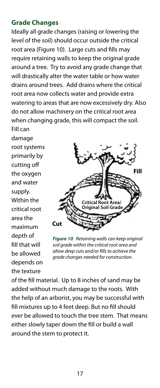#### **Grade Changes**

Ideally all grade changes (raising or lowering the level of the soil) should occur outside the critical root area (Figure 10). Large cuts and fills may require retaining walls to keep the original grade around a tree. Try to avoid any grade change that will drastically alter the water table or how water drains around trees. Add drains where the critical root area now collects water and provide extra watering to areas that are now excessively dry. Also do not allow machinery on the critical root area when changing grade, this will compact the soil. Fill can

damage root systems primarily by cutting off the oxygen and water supply. Within the critical root area the maximum depth of fill that will be allowed depends on the texture



*Figure 10. Retaining walls can keep original soil grade within the critical root area and allow deep cuts and/or fills to achieve the grade changes needed for construction*.

of the fill material. Up to 8 inches of sand may be added without much damage to the roots. With the help of an arborist, you may be successful with fill mixtures up to 4 feet deep. But no fill should ever be allowed to touch the tree stem. That means either slowly taper down the fill or build a wall around the stem to protect it.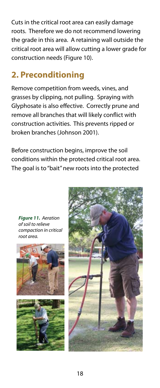Cuts in the critical root area can easily damage roots. Therefore we do not recommend lowering the grade in this area. A retaining wall outside the critical root area will allow cutting a lower grade for construction needs (Figure 10).

### **2. Preconditioning**

Remove competition from weeds, vines, and grasses by clipping, not pulling. Spraying with Glyphosate is also effective. Correctly prune and remove all branches that will likely conflict with construction activities. This prevents ripped or broken branches (Johnson 2001).

Before construction begins, improve the soil conditions within the protected critical root area. The goal is to "bait" new roots into the protected

*Figure 11. Aeration of soil to relieve compaction in critical root area.*





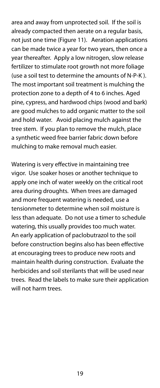area and away from unprotected soil. If the soil is already compacted then aerate on a regular basis, not just one time (Figure 11). Aeration applications can be made twice a year for two years, then once a year thereafter. Apply a low nitrogen, slow release fertilizer to stimulate root growth not more foliage (use a soil test to determine the amounts of N-P-K ). The most important soil treatment is mulching the protection zone to a depth of 4 to 6 inches. Aged pine, cypress, and hardwood chips (wood and bark) are good mulches to add organic matter to the soil and hold water. Avoid placing mulch against the tree stem. If you plan to remove the mulch, place a synthetic weed free barrier fabric down before mulching to make removal much easier.

Watering is very effective in maintaining tree vigor. Use soaker hoses or another technique to apply one inch of water weekly on the critical root area during droughts. When trees are damaged and more frequent watering is needed, use a tensionmeter to determine when soil moisture is less than adequate. Do not use a timer to schedule watering, this usually provides too much water. An early application of paclobutrazol to the soil before construction begins also has been effective at encouraging trees to produce new roots and maintain health during construction. Evaluate the herbicides and soil sterilants that will be used near trees. Read the labels to make sure their application will not harm trees.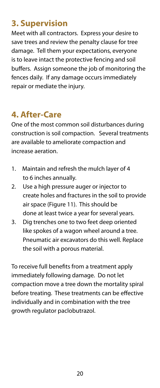### **3. Supervision**

Meet with all contractors. Express your desire to save trees and review the penalty clause for tree damage. Tell them your expectations, everyone is to leave intact the protective fencing and soil buffers. Assign someone the job of monitoring the fences daily. If any damage occurs immediately repair or mediate the injury.

### **4. After-Care**

One of the most common soil disturbances during construction is soil compaction. Several treatments are available to ameliorate compaction and increase aeration.

- 1. Maintain and refresh the mulch layer of 4 to 6 inches annually.
- 2. Use a high pressure auger or injector to create holes and fractures in the soil to provide air space (Figure 11). This should be done at least twice a year for several years.
- 3. Dig trenches one to two feet deep oriented like spokes of a wagon wheel around a tree. Pneumatic air excavators do this well. Replace the soil with a porous material.

To receive full benefits from a treatment apply immediately following damage. Do not let compaction move a tree down the mortality spiral before treating. These treatments can be effective individually and in combination with the tree growth regulator paclobutrazol.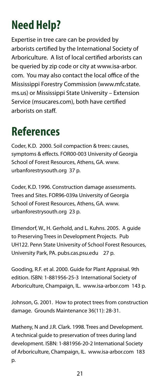# **Need Help?**

Expertise in tree care can be provided by arborists certified by the International Society of Arboriculture. A list of local certified arborists can be queried by zip code or city at www.isa-arbor. com. You may also contact the local office of the Mississippi Forestry Commission (www.mfc.state. ms.us) or Mississippi State University – Extension Service (msucares.com), both have certified arborists on staff.

# **References**

Coder, K.D. 2000. Soil compaction & trees: causes, symptoms & effects. FOR00-003 University of Georgia School of Forest Resources, Athens, GA. www. urbanforestrysouth.org 37 p.

Coder, K.D. 1996. Construction damage assessments. Trees and Sites. FOR96-039a University of Georgia School of Forest Resources, Athens, GA. www. urbanforestrysouth.org 23 p.

Elmendorf, W., H. Gerhold, and L. Kuhns. 2005. A guide to Preserving Trees in Development Projects. Pub UH122. Penn State University of School Forest Resources, University Park, PA. pubs.cas.psu.edu 27 p.

Gooding, R.F. et al. 2000. Guide for Plant Appraisal. 9th edition. ISBN: 1-881956-25-3 International Society of Arboriculture, Champaign, IL. www.isa-arbor.com 143 p.

Johnson, G. 2001. How to protect trees from construction damage. Grounds Maintenance 36(11): 28-31.

Matheny, N and J.R. Clark. 1998. Trees and Development. A technical guide to preservation of trees during land development. ISBN: 1-881956-20-2 International Society of Arboriculture, Champaign, IL. www.isa-arbor.com 183 p.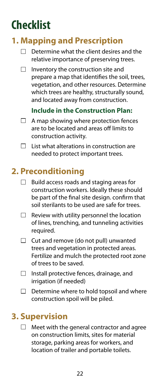# **Checklist**

### **1. Mapping and Prescription**

- $\Box$  Determine what the client desires and the relative importance of preserving trees.
- $\Box$ Inventory the construction site and prepare a map that identifies the soil, trees, vegetation, and other resources. Determine which trees are healthy, structurally sound, and located away from construction.

#### **Include in the Construction Plan:**

- $\Box$  A map showing where protection fences are to be located and areas off limits to construction activity.
- List what alterations in construction are П needed to protect important trees.

### **2. Preconditioning**

- Build access roads and staging areas for  $\Box$ construction workers. Ideally these should be part of the final site design. confirm that soil sterilants to be used are safe for trees.
- $\Box$  Review with utility personnel the location of lines, trenching, and tunneling activities required.
- $\Box$  Cut and remove (do not pull) unwanted trees and vegetation in protected areas. Fertilize and mulch the protected root zone of trees to be saved.
- $\Box$  Install protective fences, drainage, and irrigation (if needed)
- $\Box$  Determine where to hold topsoil and where construction spoil will be piled.

### **3. Supervision**

 $\Box$  Meet with the general contractor and agree on construction limits, sites for material storage, parking areas for workers, and location of trailer and portable toilets.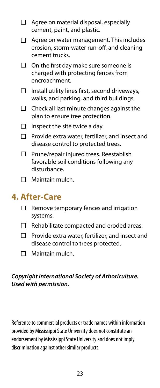- $\Box$  Agree on material disposal, especially cement, paint, and plastic.
- $\Box$  Agree on water management. This includes erosion, storm-water run-off, and cleaning cement trucks.
- $\Box$  On the first day make sure someone is charged with protecting fences from encroachment.
- $\Box$  Install utility lines first, second driveways, walks, and parking, and third buildings.
- $\Box$  Check all last minute changes against the plan to ensure tree protection.
- $\Box$  Inspect the site twice a day.
- $\Box$  Provide extra water, fertilizer, and insect and disease control to protected trees.
- Prune/repair injured trees. Reestablish  $\Box$ favorable soil conditions following any disturbance.
- $\Box$  Maintain mulch.

### **4. After-Care**

- $\Box$ Remove temporary fences and irrigation systems.
- $\Box$  Rehabilitate compacted and eroded areas.
- $\Box$  Provide extra water, fertilizer, and insect and disease control to trees protected.
- □ Maintain mulch.

#### *Copyright International Society of Arboriculture. Used with permission.*

Reference to commercial products or trade names within information provided by Mississippi State University does not constitute an endorsement by Mississippi State University and does not imply discrimination against other similar products.